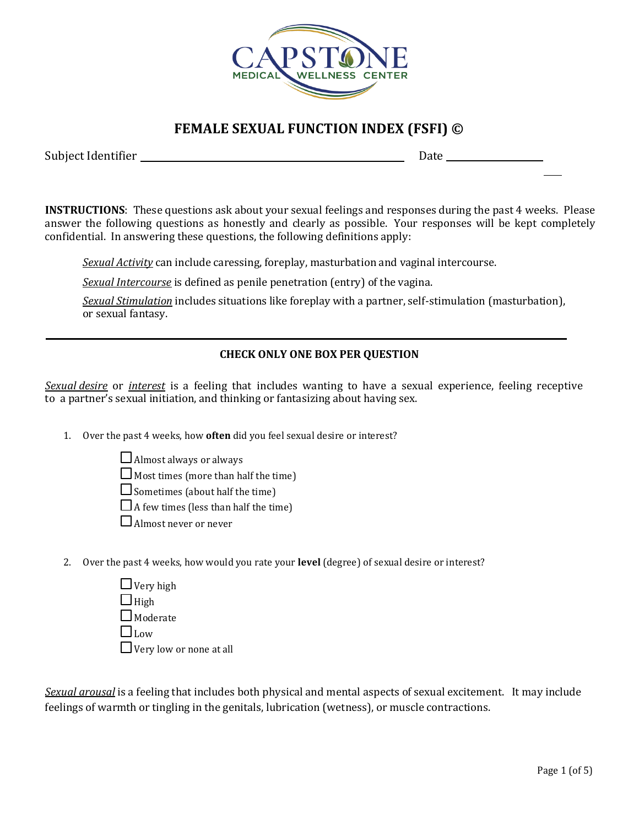

## **FEMALE SEXUAL FUNCTION INDEX (FSFI) ©**

Subject Identifier **Date** Date **Date** Date **Date** 

**INSTRUCTIONS**: These questions ask about your sexual feelings and responses during the past 4 weeks. Please answer the following questions as honestly and clearly as possible. Your responses will be kept completely confidential. In answering these questions, the following definitions apply:

*Sexual Activity* can include caressing, foreplay, masturbation and vaginal intercourse.

*Sexual Intercourse* is defined as penile penetration (entry) of the vagina.

*Sexual Stimulation* includes situations like foreplay with a partner, self-stimulation (masturbation), or sexual fantasy.

## **CHECK ONLY ONE BOX PER QUESTION**

*Sexual desire* or *interest* is a feeling that includes wanting to have a sexual experience, feeling receptive to a partner's sexual initiation, and thinking or fantasizing about having sex.

1. Over the past 4 weeks, how **often** did you feel sexual desire or interest?

 $\Box$  Almost always or always

 $\Box$  Most times (more than half the time)

 $\Box$  Sometimes (about half the time)

 $\Box$  A few times (less than half the time)

 $\Box$  Almost never or never

2. Over the past 4 weeks, how would you rate your **level** (degree) of sexual desire or interest?

| $\Box$ Very high               |
|--------------------------------|
| $\Box$ High                    |
| $\Box$ Moderate                |
| $\Box$ Low                     |
| $\Box$ Very low or none at all |

*Sexual arousal* is a feeling that includes both physical and mental aspects of sexual excitement. It may include feelings of warmth or tingling in the genitals, lubrication (wetness), or muscle contractions.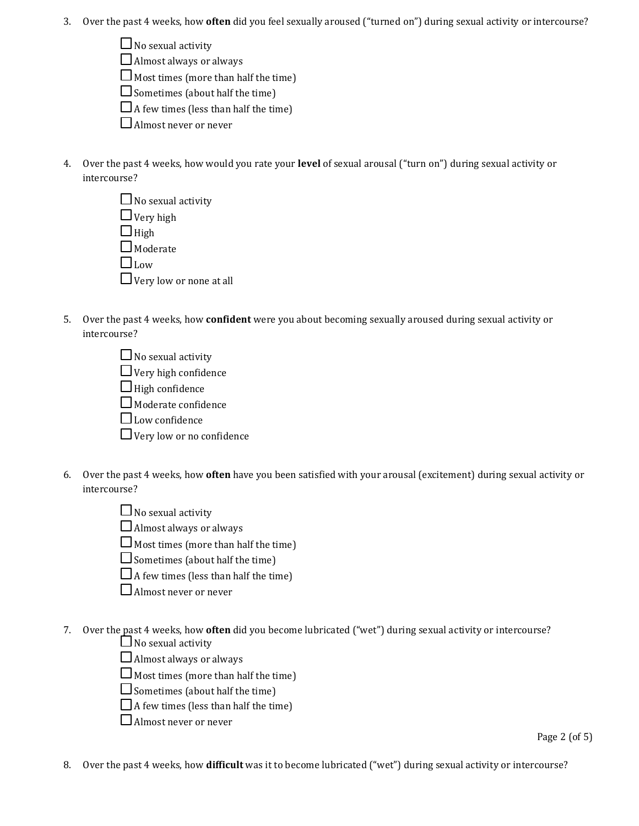- 3. Over the past 4 weeks, how **often** did you feel sexually aroused ("turned on") during sexual activity or intercourse?
	- $\Box$  No sexual activity
	- $\Box$  Almost always or always
	- $\Box$  Most times (more than half the time)
	- $\Box$  Sometimes (about half the time)
	- $\Box$  A few times (less than half the time)
	- Almost never or never
- 4. Over the past 4 weeks, how would you rate your **level** of sexual arousal ("turn on") during sexual activity or intercourse?

| $\Box$ No sexual activity      |  |
|--------------------------------|--|
| $\Box$ Very high               |  |
| $\Box$ High                    |  |
| $\square$ Moderate             |  |
| $\square$ Low                  |  |
| $\Box$ Very low or none at all |  |

- 5. Over the past 4 weeks, how **confident** were you about becoming sexually aroused during sexual activity or intercourse?
	- $\Box$  No sexual activity  $\Box$  Very high confidence  $\Box$  High confidence  $\Box$  Moderate confidence  $\Box$  Low confidence  $\Box$  Very low or no confidence
- 6. Over the past 4 weeks, how **often** have you been satisfied with your arousal (excitement) during sexual activity or intercourse?
	- $\Box$  No sexual activity
	- $\Box$  Almost always or always
	- $\Box$  Most times (more than half the time)
	- $\Box$  Sometimes (about half the time)
	- $\Box$  A few times (less than half the time)
	- Almost never or never
- 7. Over the past 4 weeks, how **often** did you become lubricated ("wet") during sexual activity or intercourse?
	- $\Box$  No sexual activity
	- $\Box$  Almost always or always
	- $\Box$  Most times (more than half the time)
	- $\square$  Sometimes (about half the time)
	- $\Box$  A few times (less than half the time)
	- Almost never or never

Page 2 (of 5)

8. Over the past 4 weeks, how **difficult** was it to become lubricated ("wet") during sexual activity or intercourse?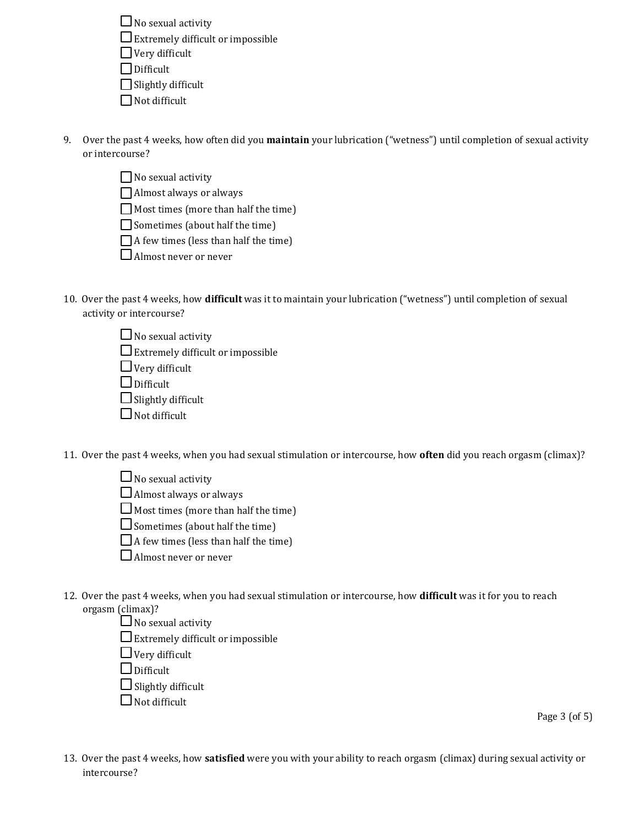$\Box$  No sexual activity  $\square$  Extremely difficult or impossible  $\Box$  Very difficult Difficult  $\Box$  Slightly difficult  $\Box$  Not difficult

9. Over the past 4 weeks, how often did you **maintain** your lubrication ("wetness") until completion of sexual activity or intercourse?

|  | $\Box$ No sexual activity |
|--|---------------------------|
|  |                           |

Almost always or always

Most times (more than half the time)

 $\Box$  Sometimes (about half the time)

 $\Box$  A few times (less than half the time)

 $\Box$  Almost never or never

- 10. Over the past 4 weeks, how **difficult** was it to maintain your lubrication ("wetness") until completion of sexual activity or intercourse?
	- $\Box$  No sexual activity  $\square$  Extremely difficult or impossible  $\Box$  Very difficult  $\Box$  Difficult  $\Box$  Slightly difficult  $\Box$  Not difficult

11. Over the past 4 weeks, when you had sexual stimulation or intercourse, how **often** did you reach orgasm (climax)?

 $\Box$  No sexual activity

 $\Box$  Almost always or always

 $\Box$  Most times (more than half the time)

 $\Box$  Sometimes (about half the time)

 $\Box$  A few times (less than half the time)

Almost never or never

12. Over the past 4 weeks, when you had sexual stimulation or intercourse, how **difficult** was it for you to reach orgasm (climax)?

 $\Box$  No sexual activity

 $\square$  Extremely difficult or impossible

 $\Box$  Very difficult

 $\Box$  Difficult

 $\Box$  Slightly difficult

 $\Box$  Not difficult

Page 3 (of 5)

13. Over the past 4 weeks, how **satisfied** were you with your ability to reach orgasm (climax) during sexual activity or intercourse?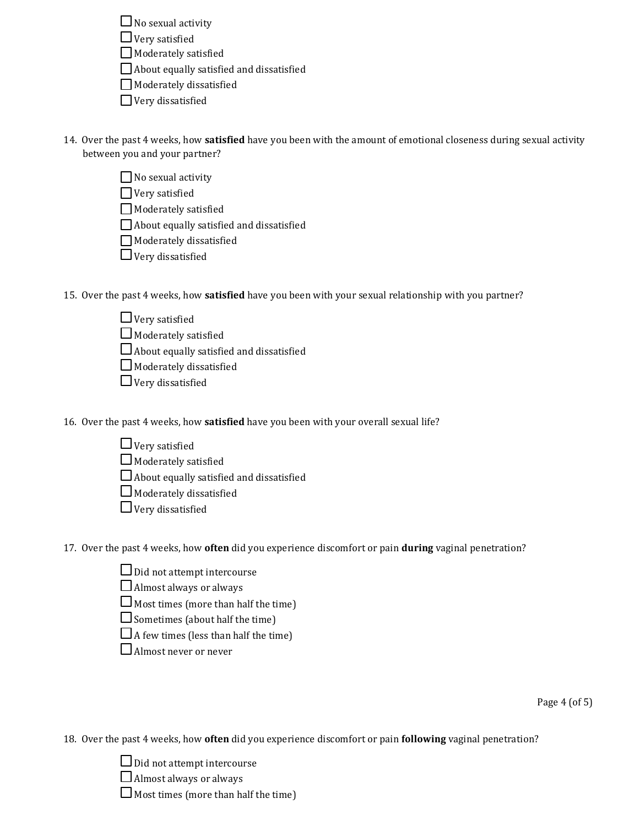$\Box$  No sexual activity

 $\Box$  Very satisfied

 $\Box$  Moderately satisfied

About equally satisfied and dissatisfied

Moderately dissatisfied

Very dissatisfied

- 14. Over the past 4 weeks, how **satisfied** have you been with the amount of emotional closeness during sexual activity between you and your partner?
	- $\Box$  No sexual activity

Very satisfied

Moderately satisfied

About equally satisfied and dissatisfied

Moderately dissatisfied

 $\Box$  Very dissatisfied

- 15. Over the past 4 weeks, how **satisfied** have you been with your sexual relationship with you partner?
	- $\Box$  Very satisfied

 $\Box$  Moderately satisfied

 $\Box$  About equally satisfied and dissatisfied

 $\Box$  Moderately dissatisfied

 $\Box$  Very dissatisfied

16. Over the past 4 weeks, how **satisfied** have you been with your overall sexual life?

- $\Box$  Very satisfied
- $\Box$  Moderately satisfied
- $\Box$  About equally satisfied and dissatisfied
- $\Box$  Moderately dissatisfied
- $\Box$  Very dissatisfied

17. Over the past 4 weeks, how **often** did you experience discomfort or pain **during** vaginal penetration?

- $\Box$  Did not attempt intercourse
- $\Box$  Almost always or always
- $\Box$  Most times (more than half the time)
- $\Box$  Sometimes (about half the time)
- $\Box$  A few times (less than half the time)
- Almost never or never

Page 4 (of 5)

18. Over the past 4 weeks, how **often** did you experience discomfort or pain **following** vaginal penetration?

Did not attempt intercourse

 $\Box$  Almost always or always

 $\Box$  Most times (more than half the time)